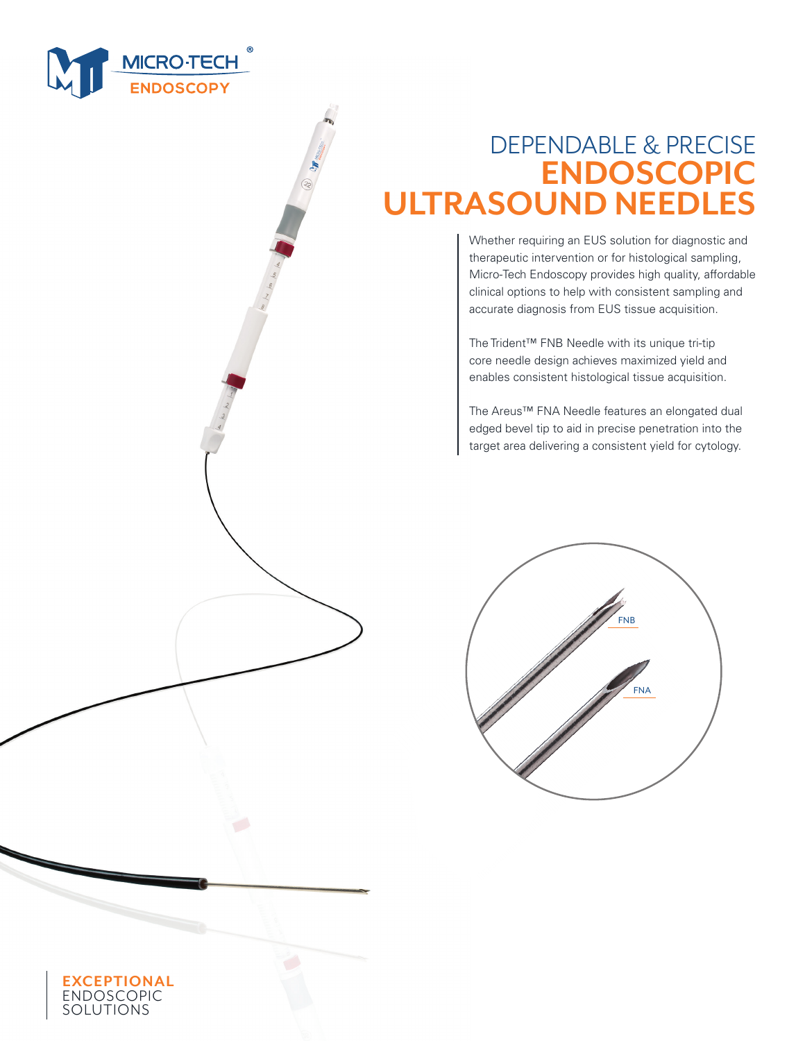

# DEPENDABLE & PRECISE **ENDOSCOPIC ULTRASOUND NEEDLES**

Whether requiring an EUS solution for diagnostic and therapeutic intervention or for histological sampling, Micro-Tech Endoscopy provides high quality, affordable clinical options to help with consistent sampling and accurate diagnosis from EUS tissue acquisition.

The Trident™ FNB Needle with its unique tri-tip core needle design achieves maximized yield and enables consistent histological tissue acquisition.

The Areus™ FNA Needle features an elongated dual edged bevel tip to aid in precise penetration into the target area delivering a consistent yield for cytology.